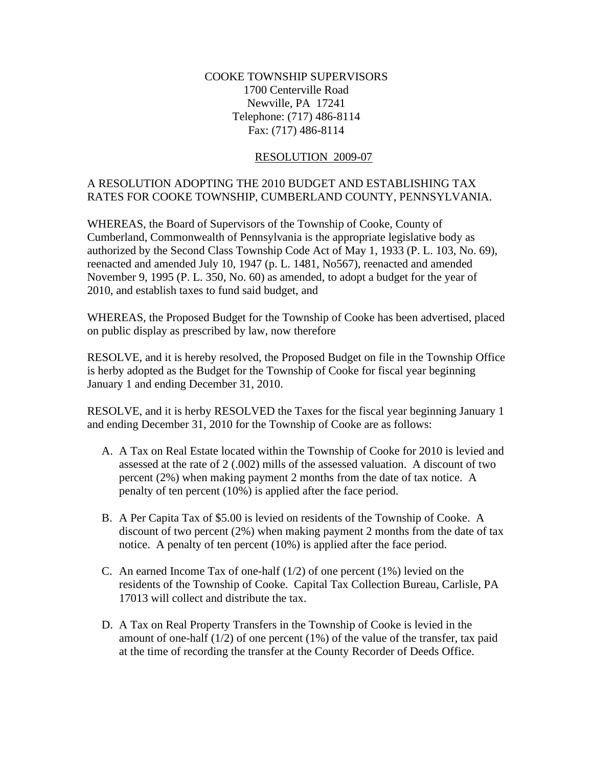## COOKE TOWNSHIP SUPERVISORS 1700 Centerville Road Newville, PA 17241 Telephone: (717) 486-8114 Fax: (717) 486-8114

## RESOLUTION 2009-07

## A RESOLUTION ADOPTING THE 2010 BUDGET AND ESTABLISHING TAX RATES FOR COOKE TOWNSHIP, CUMBERLAND COUNTY, PENNSYLVANIA.

WHEREAS, the Board of Supervisors of the Township of Cooke, County of Cumberland, Commonwealth of Pennsylvania is the appropriate legislative body as authorized by the Second Class Township Code Act of May 1, 1933 (P. L. 103, No. 69), reenacted and amended July 10, 1947 (p. L. 1481, No567), reenacted and amended November 9, 1995 (P. L. 350, No. 60) as amended, to adopt a budget for the year of 2010, and establish taxes to fund said budget, and

WHEREAS, the Proposed Budget for the Township of Cooke has been advertised, placed on public display as prescribed by law, now therefore

RESOLVE, and it is hereby resolved, the Proposed Budget on file in the Township Office is herby adopted as the Budget for the Township of Cooke for fiscal year beginning January 1 and ending December 31, 2010.

RESOLVE, and it is herby RESOLVED the Taxes for the fiscal year beginning January 1 and ending December 31, 2010 for the Township of Cooke are as follows:

- A. A Tax on Real Estate located within the Township of Cooke for 2010 is levied and assessed at the rate of 2 (.002) mills of the assessed valuation. A discount of two percent (2%) when making payment 2 months from the date of tax notice. A penalty of ten percent (10%) is applied after the face period.
- B. A Per Capita Tax of \$5.00 is levied on residents of the Township of Cooke. A discount of two percent (2%) when making payment 2 months from the date of tax notice. A penalty of ten percent (10%) is applied after the face period.
- C. An earned Income Tax of one-half  $(1/2)$  of one percent  $(1%)$  levied on the residents of the Township of Cooke. Capital Tax Collection Bureau, Carlisle, PA 17013 will collect and distribute the tax.
- D. A Tax on Real Property Transfers in the Township of Cooke is levied in the amount of one-half  $(1/2)$  of one percent  $(1%)$  of the value of the transfer, tax paid at the time of recording the transfer at the County Recorder of Deeds Office.